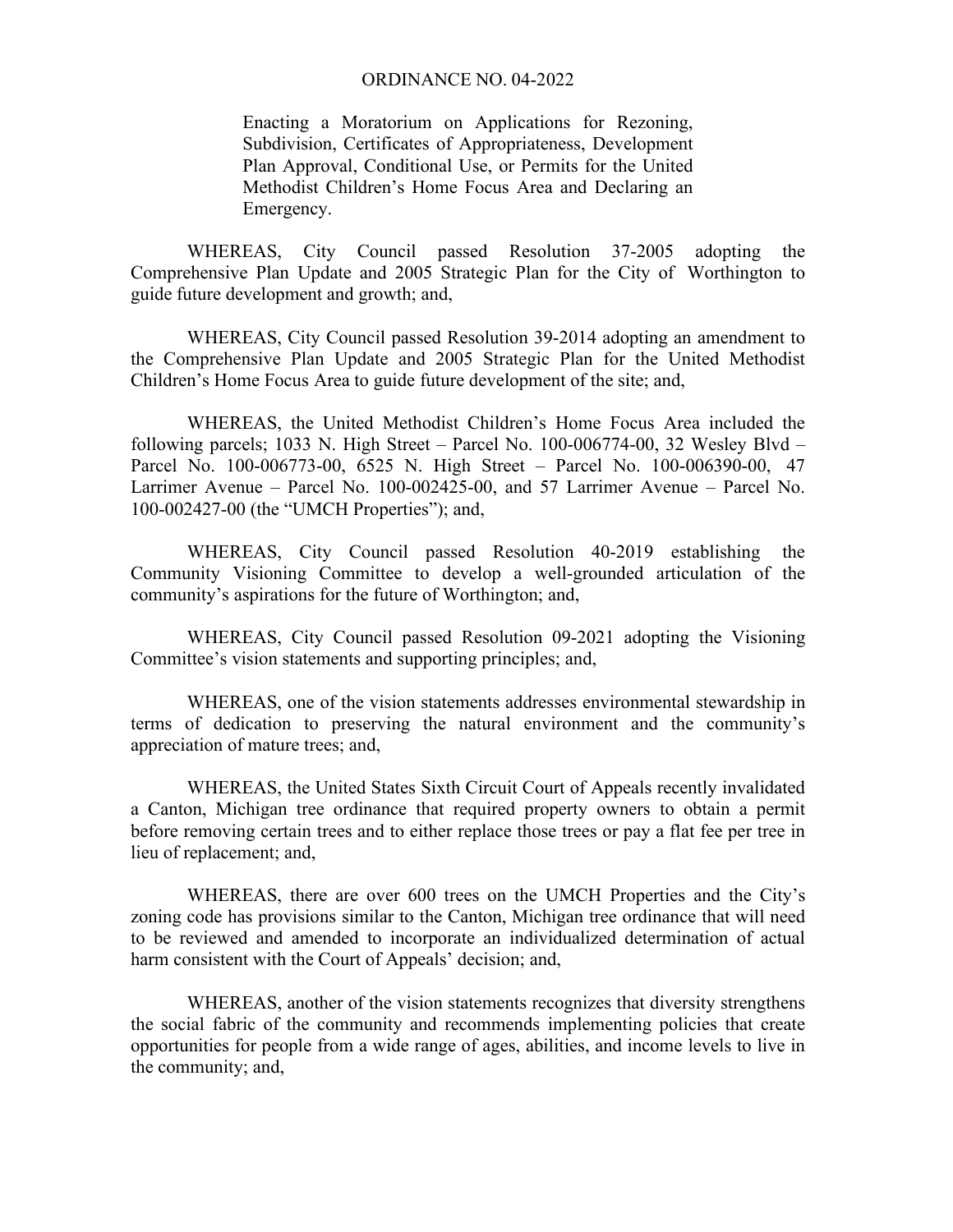Enacting a Moratorium on Applications for Rezoning, Subdivision, Certificates of Appropriateness, Development Plan Approval, Conditional Use, or Permits for the United Methodist Children's Home Focus Area and Declaring an Emergency.

WHEREAS, City Council passed Resolution 37-2005 adopting the Comprehensive Plan Update and 2005 Strategic Plan for the City of Worthington to guide future development and growth; and,

WHEREAS, City Council passed Resolution 39-2014 adopting an amendment to the Comprehensive Plan Update and 2005 Strategic Plan for the United Methodist Children's Home Focus Area to guide future development of the site; and,

WHEREAS, the United Methodist Children's Home Focus Area included the following parcels; 1033 N. High Street – Parcel No. 100-006774-00, 32 Wesley Blvd – Parcel No. 100-006773-00, 6525 N. High Street – Parcel No. 100-006390-00, 47 Larrimer Avenue – Parcel No. 100-002425-00, and 57 Larrimer Avenue – Parcel No. 100-002427-00 (the "UMCH Properties"); and,

WHEREAS, City Council passed Resolution 40-2019 establishing the Community Visioning Committee to develop a well-grounded articulation of the community's aspirations for the future of Worthington; and,

WHEREAS, City Council passed Resolution 09-2021 adopting the Visioning Committee's vision statements and supporting principles; and,

WHEREAS, one of the vision statements addresses environmental stewardship in terms of dedication to preserving the natural environment and the community's appreciation of mature trees; and,

WHEREAS, the United States Sixth Circuit Court of Appeals recently invalidated a Canton, Michigan tree ordinance that required property owners to obtain a permit before removing certain trees and to either replace those trees or pay a flat fee per tree in lieu of replacement; and,

WHEREAS, there are over 600 trees on the UMCH Properties and the City's zoning code has provisions similar to the Canton, Michigan tree ordinance that will need to be reviewed and amended to incorporate an individualized determination of actual harm consistent with the Court of Appeals' decision; and,

WHEREAS, another of the vision statements recognizes that diversity strengthens the social fabric of the community and recommends implementing policies that create opportunities for people from a wide range of ages, abilities, and income levels to live in the community; and,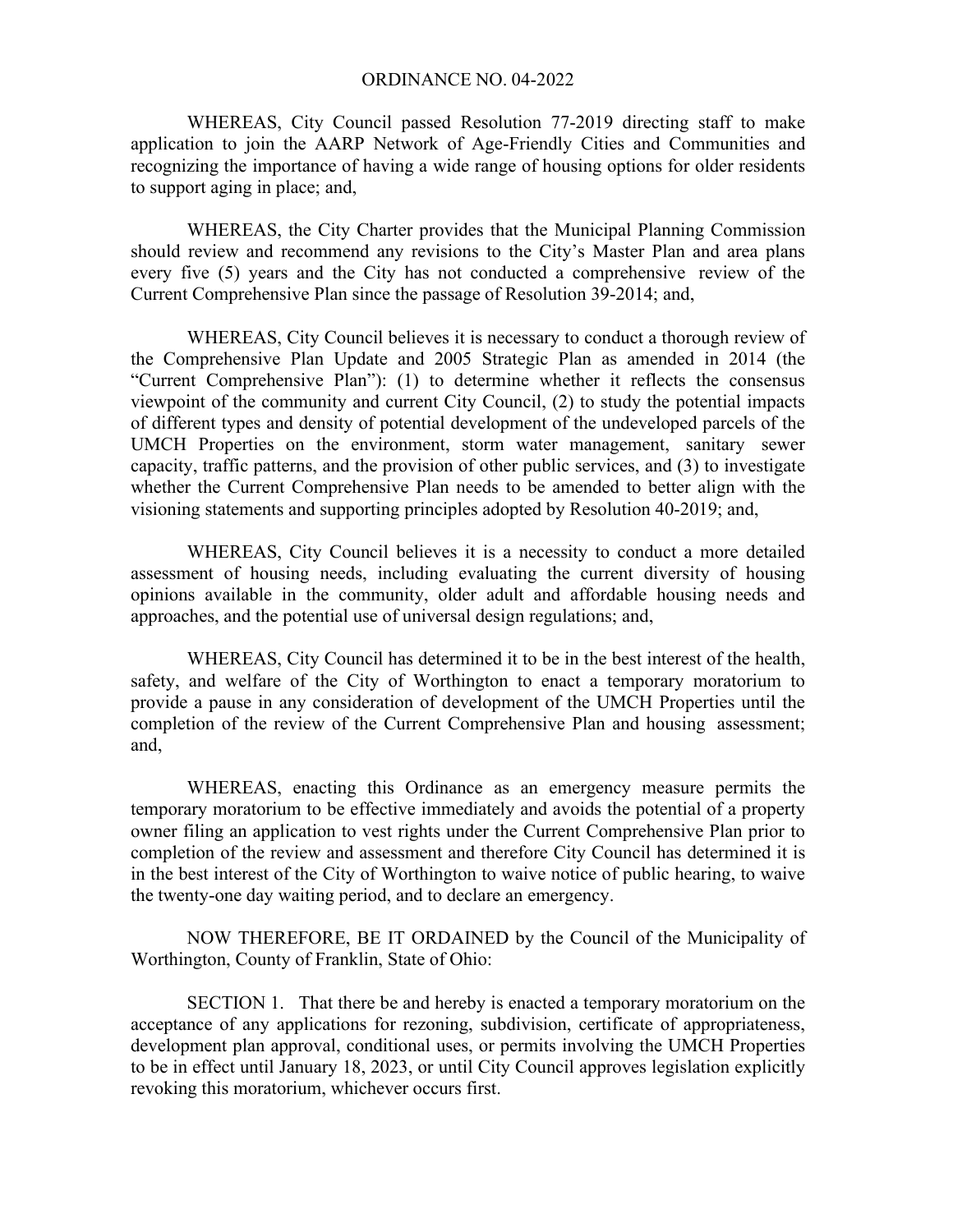WHEREAS, City Council passed Resolution 77-2019 directing staff to make application to join the AARP Network of Age-Friendly Cities and Communities and recognizing the importance of having a wide range of housing options for older residents to support aging in place; and,

WHEREAS, the City Charter provides that the Municipal Planning Commission should review and recommend any revisions to the City's Master Plan and area plans every five (5) years and the City has not conducted a comprehensive review of the Current Comprehensive Plan since the passage of Resolution 39-2014; and,

WHEREAS, City Council believes it is necessary to conduct a thorough review of the Comprehensive Plan Update and 2005 Strategic Plan as amended in 2014 (the "Current Comprehensive Plan"): (1) to determine whether it reflects the consensus viewpoint of the community and current City Council, (2) to study the potential impacts of different types and density of potential development of the undeveloped parcels of the UMCH Properties on the environment, storm water management, sanitary sewer capacity, traffic patterns, and the provision of other public services, and (3) to investigate whether the Current Comprehensive Plan needs to be amended to better align with the visioning statements and supporting principles adopted by Resolution 40-2019; and,

WHEREAS, City Council believes it is a necessity to conduct a more detailed assessment of housing needs, including evaluating the current diversity of housing opinions available in the community, older adult and affordable housing needs and approaches, and the potential use of universal design regulations; and,

WHEREAS, City Council has determined it to be in the best interest of the health, safety, and welfare of the City of Worthington to enact a temporary moratorium to provide a pause in any consideration of development of the UMCH Properties until the completion of the review of the Current Comprehensive Plan and housing assessment; and,

WHEREAS, enacting this Ordinance as an emergency measure permits the temporary moratorium to be effective immediately and avoids the potential of a property owner filing an application to vest rights under the Current Comprehensive Plan prior to completion of the review and assessment and therefore City Council has determined it is in the best interest of the City of Worthington to waive notice of public hearing, to waive the twenty-one day waiting period, and to declare an emergency.

NOW THEREFORE, BE IT ORDAINED by the Council of the Municipality of Worthington, County of Franklin, State of Ohio:

SECTION 1. That there be and hereby is enacted a temporary moratorium on the acceptance of any applications for rezoning, subdivision, certificate of appropriateness, development plan approval, conditional uses, or permits involving the UMCH Properties to be in effect until January 18, 2023, or until City Council approves legislation explicitly revoking this moratorium, whichever occurs first.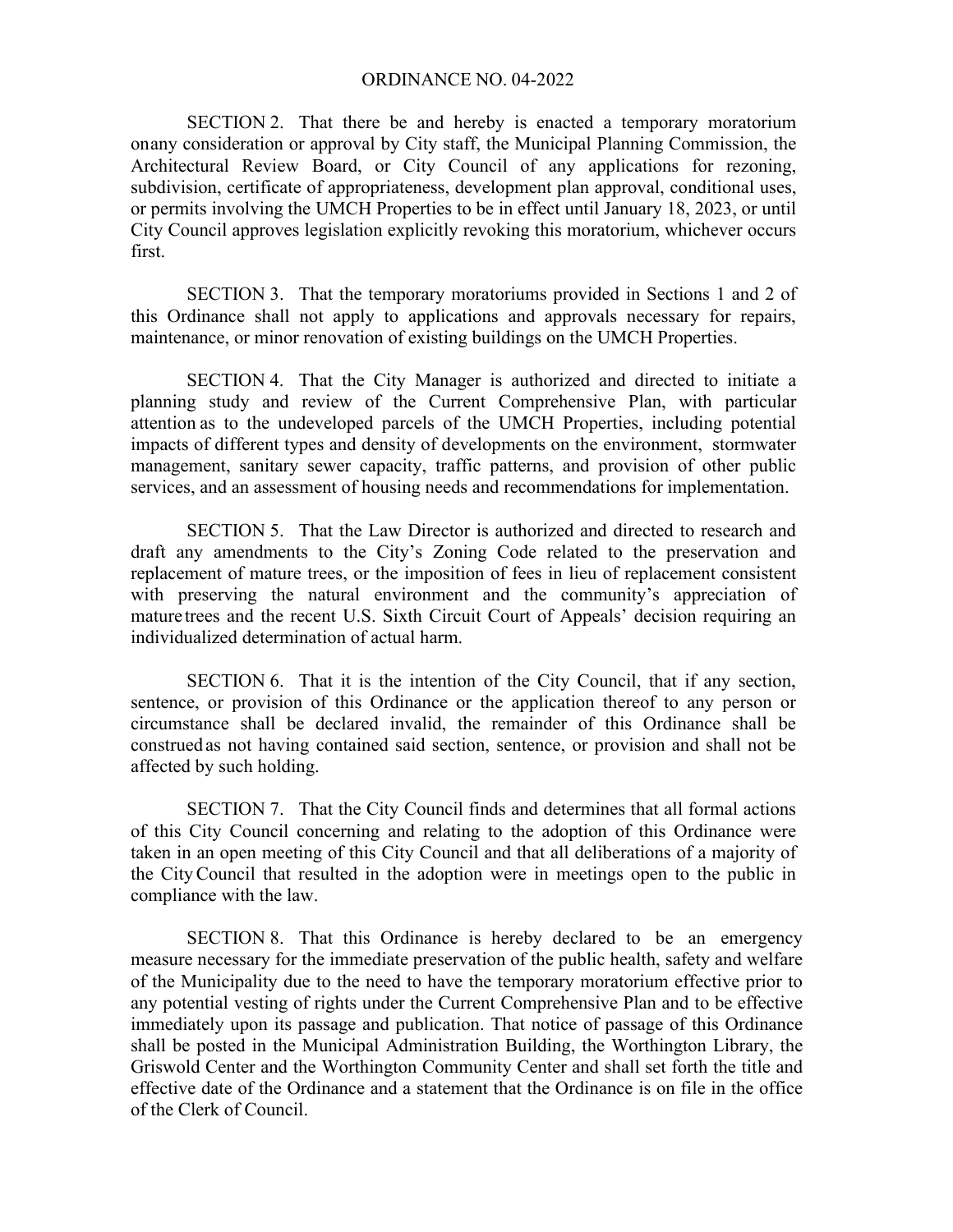SECTION 2. That there be and hereby is enacted a temporary moratorium onany consideration or approval by City staff, the Municipal Planning Commission, the Architectural Review Board, or City Council of any applications for rezoning, subdivision, certificate of appropriateness, development plan approval, conditional uses, or permits involving the UMCH Properties to be in effect until January 18, 2023, or until City Council approves legislation explicitly revoking this moratorium, whichever occurs first.

SECTION 3. That the temporary moratoriums provided in Sections 1 and 2 of this Ordinance shall not apply to applications and approvals necessary for repairs, maintenance, or minor renovation of existing buildings on the UMCH Properties.

SECTION 4. That the City Manager is authorized and directed to initiate a planning study and review of the Current Comprehensive Plan, with particular attention as to the undeveloped parcels of the UMCH Properties, including potential impacts of different types and density of developments on the environment, stormwater management, sanitary sewer capacity, traffic patterns, and provision of other public services, and an assessment of housing needs and recommendations for implementation.

SECTION 5. That the Law Director is authorized and directed to research and draft any amendments to the City's Zoning Code related to the preservation and replacement of mature trees, or the imposition of fees in lieu of replacement consistent with preserving the natural environment and the community's appreciation of mature trees and the recent U.S. Sixth Circuit Court of Appeals' decision requiring an individualized determination of actual harm.

SECTION 6. That it is the intention of the City Council, that if any section, sentence, or provision of this Ordinance or the application thereof to any person or circumstance shall be declared invalid, the remainder of this Ordinance shall be construed as not having contained said section, sentence, or provision and shall not be affected by such holding.

SECTION 7. That the City Council finds and determines that all formal actions of this City Council concerning and relating to the adoption of this Ordinance were taken in an open meeting of this City Council and that all deliberations of a majority of the CityCouncil that resulted in the adoption were in meetings open to the public in compliance with the law.

SECTION 8. That this Ordinance is hereby declared to be an emergency measure necessary for the immediate preservation of the public health, safety and welfare of the Municipality due to the need to have the temporary moratorium effective prior to any potential vesting of rights under the Current Comprehensive Plan and to be effective immediately upon its passage and publication. That notice of passage of this Ordinance shall be posted in the Municipal Administration Building, the Worthington Library, the Griswold Center and the Worthington Community Center and shall set forth the title and effective date of the Ordinance and a statement that the Ordinance is on file in the office of the Clerk of Council.